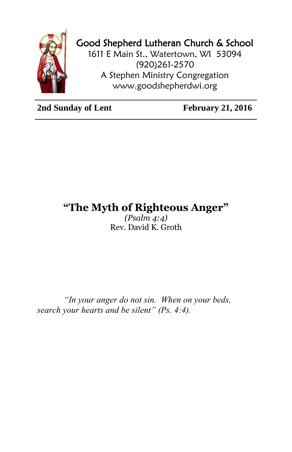

## Good Shepherd Lutheran Church & School

1611 E Main St., Watertown, WI 53094 (920)261-2570 A Stephen Ministry Congregation [www.goodshepherdwi.org](http://www.goodshepherdwi.org/)

**2nd Sunday of Lent February 21, 2016** 

## **"The Myth of Righteous Anger"**

*(Psalm 4:4)* Rev. David K. Groth

*"In your anger do not sin. When on your beds, search your hearts and be silent" (Ps. 4:4).*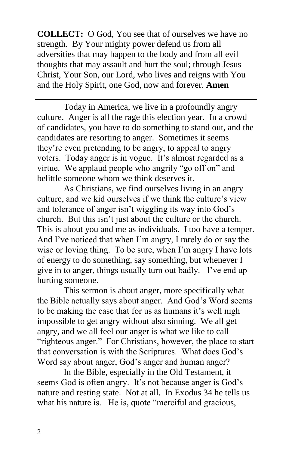**COLLECT:** O God, You see that of ourselves we have no strength. By Your mighty power defend us from all adversities that may happen to the body and from all evil thoughts that may assault and hurt the soul; through Jesus Christ, Your Son, our Lord, who lives and reigns with You and the Holy Spirit, one God, now and forever. **Amen**

Today in America, we live in a profoundly angry culture. Anger is all the rage this election year. In a crowd of candidates, you have to do something to stand out, and the candidates are resorting to anger. Sometimes it seems they're even pretending to be angry, to appeal to angry voters. Today anger is in vogue. It's almost regarded as a virtue. We applaud people who angrily "go off on" and belittle someone whom we think deserves it.

As Christians, we find ourselves living in an angry culture, and we kid ourselves if we think the culture's view and tolerance of anger isn't wiggling its way into God's church. But this isn't just about the culture or the church. This is about you and me as individuals. I too have a temper. And I've noticed that when I'm angry, I rarely do or say the wise or loving thing. To be sure, when I'm angry I have lots of energy to do something, say something, but whenever I give in to anger, things usually turn out badly. I've end up hurting someone.

This sermon is about anger, more specifically what the Bible actually says about anger. And God's Word seems to be making the case that for us as humans it's well nigh impossible to get angry without also sinning. We all get angry, and we all feel our anger is what we like to call "righteous anger." For Christians, however, the place to start that conversation is with the Scriptures. What does God's Word say about anger, God's anger and human anger?

In the Bible, especially in the Old Testament, it seems God is often angry. It's not because anger is God's nature and resting state. Not at all. In Exodus 34 he tells us what his nature is. He is, quote "merciful and gracious,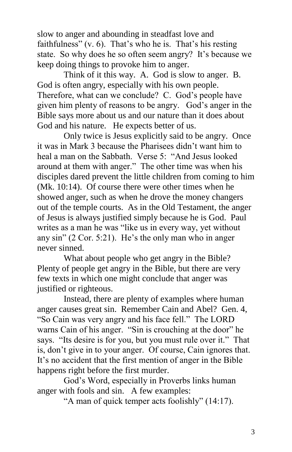slow to anger and abounding in steadfast love and faithfulness" (v. 6). That's who he is. That's his resting state. So why does he so often seem angry? It's because we keep doing things to provoke him to anger.

Think of it this way. A. God is slow to anger. B. God is often angry, especially with his own people. Therefore, what can we conclude? C. God's people have given him plenty of reasons to be angry. God's anger in the Bible says more about us and our nature than it does about God and his nature. He expects better of us.

Only twice is Jesus explicitly said to be angry. Once it was in Mark 3 because the Pharisees didn't want him to heal a man on the Sabbath. Verse 5: "And Jesus looked. around at them with anger." The other time was when his disciples dared prevent the little children from coming to him (Mk. 10:14). Of course there were other times when he showed anger, such as when he drove the money changers out of the temple courts. As in the Old Testament, the anger of Jesus is always justified simply because he is God. Paul writes as a man he was "like us in every way, yet without any sin" (2 Cor. 5:21). He's the only man who in anger never sinned.

What about people who get angry in the Bible? Plenty of people get angry in the Bible, but there are very few texts in which one might conclude that anger was justified or righteous.

Instead, there are plenty of examples where human anger causes great sin. Remember Cain and Abel? Gen. 4, "So Cain was very angry and his face fell." The LORD warns Cain of his anger. "Sin is crouching at the door" he says. "Its desire is for you, but you must rule over it." That is, don't give in to your anger. Of course, Cain ignores that. It's no accident that the first mention of anger in the Bible happens right before the first murder.

God's Word, especially in Proverbs links human anger with fools and sin. A few examples:

"A man of quick temper acts foolishly" (14:17).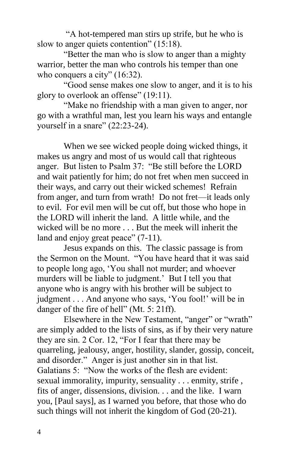"A hot-tempered man stirs up strife, but he who is slow to anger quiets contention" (15:18).

"Better the man who is slow to anger than a mighty warrior, better the man who controls his temper than one who conquers a city" (16:32).

"Good sense makes one slow to anger, and it is to his glory to overlook an offense" (19:11).

"Make no friendship with a man given to anger, nor go with a wrathful man, lest you learn his ways and entangle yourself in a snare" (22:23-24).

When we see wicked people doing wicked things, it makes us angry and most of us would call that righteous anger. But listen to Psalm 37: "Be still before the LORD and wait patiently for him; do not fret when men succeed in their ways, and carry out their wicked schemes! Refrain from anger, and turn from wrath! Do not fret—it leads only to evil. For evil men will be cut off, but those who hope in the LORD will inherit the land. A little while, and the wicked will be no more . . . But the meek will inherit the land and enjoy great peace" (7-11).

Jesus expands on this. The classic passage is from the Sermon on the Mount. "You have heard that it was said to people long ago, 'You shall not murder; and whoever murders will be liable to judgment.' But I tell you that anyone who is angry with his brother will be subject to judgment . . . And anyone who says, 'You fool!' will be in danger of the fire of hell" (Mt. 5: 21ff).

Elsewhere in the New Testament, "anger" or "wrath" are simply added to the lists of sins, as if by their very nature they are sin. 2 Cor. 12, "For I fear that there may be quarreling, jealousy, anger, hostility, slander, gossip, conceit, and disorder." Anger is just another sin in that list. Galatians 5: "Now the works of the flesh are evident: sexual immorality, impurity, sensuality . . . enmity, strife , fits of anger, dissensions, division. . . and the like. I warn you, [Paul says], as I warned you before, that those who do such things will not inherit the kingdom of God (20-21).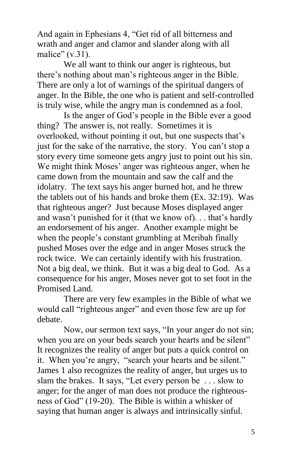And again in Ephesians 4, "Get rid of all bitterness and wrath and anger and clamor and slander along with all malice"  $(v.31)$ .

We all want to think our anger is righteous, but there's nothing about man's righteous anger in the Bible. There are only a lot of warnings of the spiritual dangers of anger. In the Bible, the one who is patient and self-controlled is truly wise, while the angry man is condemned as a fool.

Is the anger of God's people in the Bible ever a good thing? The answer is, not really. Sometimes it is overlooked, without pointing it out, but one suspects that's just for the sake of the narrative, the story. You can't stop a story every time someone gets angry just to point out his sin. We might think Moses' anger was righteous anger, when he came down from the mountain and saw the calf and the idolatry. The text says his anger burned hot, and he threw the tablets out of his hands and broke them (Ex. 32:19). Was that righteous anger? Just because Moses displayed anger and wasn't punished for it (that we know of). . . that's hardly an endorsement of his anger. Another example might be when the people's constant grumbling at Meribah finally pushed Moses over the edge and in anger Moses struck the rock twice. We can certainly identify with his frustration. Not a big deal, we think. But it was a big deal to God. As a consequence for his anger, Moses never got to set foot in the Promised Land.

There are very few examples in the Bible of what we would call "righteous anger" and even those few are up for debate.

Now, our sermon text says, "In your anger do not sin; when you are on your beds search your hearts and be silent" It recognizes the reality of anger but puts a quick control on it. When you're angry, "search your hearts and be silent." James 1 also recognizes the reality of anger, but urges us to slam the brakes. It says, "Let every person be . . . slow to anger; for the anger of man does not produce the righteousness of God" (19-20). The Bible is within a whisker of saying that human anger is always and intrinsically sinful.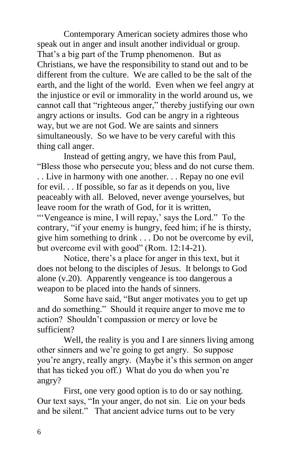Contemporary American society admires those who speak out in anger and insult another individual or group. That's a big part of the Trump phenomenon. But as Christians, we have the responsibility to stand out and to be different from the culture. We are called to be the salt of the earth, and the light of the world. Even when we feel angry at the injustice or evil or immorality in the world around us, we cannot call that "righteous anger," thereby justifying our own angry actions or insults. God can be angry in a righteous way, but we are not God. We are saints and sinners simultaneously. So we have to be very careful with this thing call anger.

Instead of getting angry, we have this from Paul, "Bless those who persecute you; bless and do not curse them. . . Live in harmony with one another. . . Repay no one evil for evil. . . If possible, so far as it depends on you, live peaceably with all. Beloved, never avenge yourselves, but leave room for the wrath of God, for it is written,

"'Vengeance is mine, I will repay,' says the Lord." To the contrary, "if your enemy is hungry, feed him; if he is thirsty, give him something to drink . . . Do not be overcome by evil, but overcome evil with good" (Rom. 12:14-21).

Notice, there's a place for anger in this text, but it does not belong to the disciples of Jesus. It belongs to God alone (v.20). Apparently vengeance is too dangerous a weapon to be placed into the hands of sinners.

Some have said, "But anger motivates you to get up and do something." Should it require anger to move me to action? Shouldn't compassion or mercy or love be sufficient?

Well, the reality is you and I are sinners living among other sinners and we're going to get angry. So suppose you're angry, really angry. (Maybe it's this sermon on anger that has ticked you off.) What do you do when you're angry?

First, one very good option is to do or say nothing. Our text says, "In your anger, do not sin. Lie on your beds and be silent." That ancient advice turns out to be very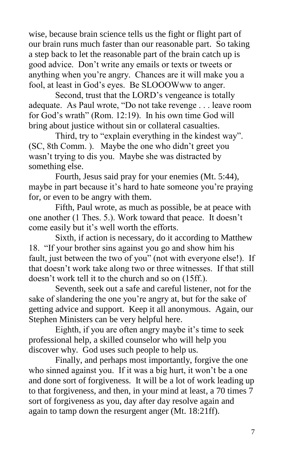wise, because brain science tells us the fight or flight part of our brain runs much faster than our reasonable part. So taking a step back to let the reasonable part of the brain catch up is good advice. Don't write any emails or texts or tweets or anything when you're angry. Chances are it will make you a fool, at least in God's eyes. Be SLOOOWww to anger.

Second, trust that the LORD's vengeance is totally adequate. As Paul wrote, "Do not take revenge . . . leave room for God's wrath" (Rom. 12:19). In his own time God will bring about justice without sin or collateral casualties.

Third, try to "explain everything in the kindest way". (SC, 8th Comm. ). Maybe the one who didn't greet you wasn't trying to dis you. Maybe she was distracted by something else.

Fourth, Jesus said pray for your enemies (Mt. 5:44), maybe in part because it's hard to hate someone you're praying for, or even to be angry with them.

Fifth, Paul wrote, as much as possible, be at peace with one another (1 Thes. 5.). Work toward that peace. It doesn't come easily but it's well worth the efforts.

Sixth, if action is necessary, do it according to Matthew 18. "If your brother sins against you go and show him his fault, just between the two of you" (not with everyone else!). If that doesn't work take along two or three witnesses. If that still doesn't work tell it to the church and so on (15ff.).

Seventh, seek out a safe and careful listener, not for the sake of slandering the one you're angry at, but for the sake of getting advice and support. Keep it all anonymous. Again, our Stephen Ministers can be very helpful here.

Eighth, if you are often angry maybe it's time to seek professional help, a skilled counselor who will help you discover why. God uses such people to help us.

Finally, and perhaps most importantly, forgive the one who sinned against you. If it was a big hurt, it won't be a one and done sort of forgiveness. It will be a lot of work leading up to that forgiveness, and then, in your mind at least, a 70 times 7 sort of forgiveness as you, day after day resolve again and again to tamp down the resurgent anger (Mt. 18:21ff).